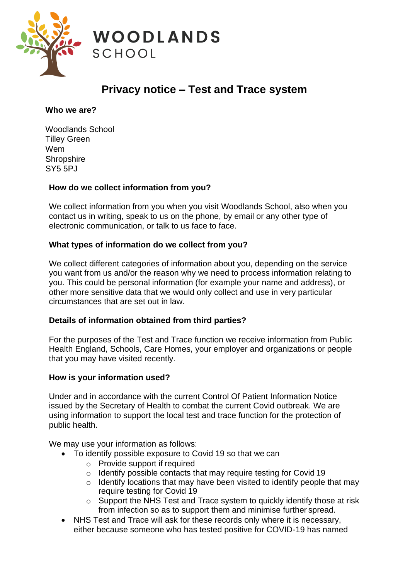

# **Privacy notice – Test and Trace system**

**Who we are?**

Woodlands School Tilley Green Wem **Shropshire** SY5 5PJ

# **How do we collect information from you?**

We collect information from you when you visit Woodlands School, also when you contact us in writing, speak to us on the phone, by email or any other type of electronic communication, or talk to us face to face.

# **What types of information do we collect from you?**

We collect different categories of information about you, depending on the service you want from us and/or the reason why we need to process information relating to you. This could be personal information (for example your name and address), or other more sensitive data that we would only collect and use in very particular circumstances that are set out in law.

# **Details of information obtained from third parties?**

For the purposes of the Test and Trace function we receive information from Public Health England, Schools, Care Homes, your employer and organizations or people that you may have visited recently.

## **How is your information used?**

Under and in accordance with the current Control Of Patient Information Notice issued by the Secretary of Health to combat the current Covid outbreak. We are using information to support the local test and trace function for the protection of public health.

We may use your information as follows:

- To identify possible exposure to Covid 19 so that we can
	- o Provide support if required
	- o Identify possible contacts that may require testing for Covid 19
	- $\circ$  Identify locations that may have been visited to identify people that may require testing for Covid 19
	- o Support the NHS Test and Trace system to quickly identify those at risk from infection so as to support them and minimise further spread.
- NHS Test and Trace will ask for these records only where it is necessary, either because someone who has tested positive for COVID-19 has named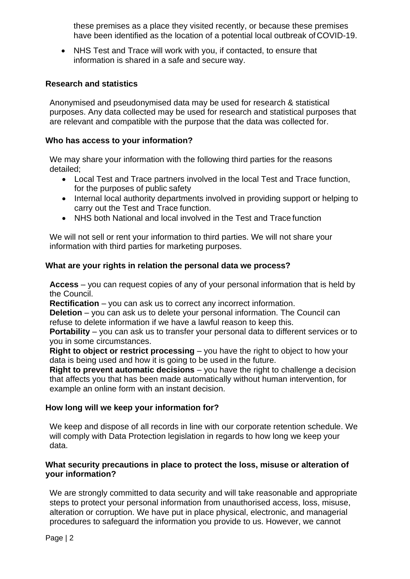these premises as a place they visited recently, or because these premises have been identified as the location of a potential local outbreak of COVID-19.

• NHS Test and Trace will work with you, if contacted, to ensure that information is shared in a safe and secure way.

## **Research and statistics**

Anonymised and pseudonymised data may be used for research & statistical purposes. Any data collected may be used for research and statistical purposes that are relevant and compatible with the purpose that the data was collected for.

#### **Who has access to your information?**

We may share your information with the following third parties for the reasons detailed;

- Local Test and Trace partners involved in the local Test and Trace function, for the purposes of public safety
- Internal local authority departments involved in providing support or helping to carry out the Test and Trace function.
- NHS both National and local involved in the Test and Trace function

We will not sell or rent your information to third parties. We will not share your information with third parties for marketing purposes.

## **What are your rights in relation the personal data we process?**

**Access** – you can request copies of any of your personal information that is held by the Council.

**Rectification** – you can ask us to correct any incorrect information.

**Deletion** – you can ask us to delete your personal information. The Council can refuse to delete information if we have a lawful reason to keep this.

**Portability** – you can ask us to transfer your personal data to different services or to you in some circumstances.

**Right to object or restrict processing** – you have the right to object to how your data is being used and how it is going to be used in the future.

**Right to prevent automatic decisions** – you have the right to challenge a decision that affects you that has been made automatically without human intervention, for example an online form with an instant decision.

#### **How long will we keep your information for?**

We keep and dispose of all records in line with our corporate retention schedule. We will comply with Data Protection legislation in regards to how long we keep your data.

## **What security precautions in place to protect the loss, misuse or alteration of your information?**

We are strongly committed to data security and will take reasonable and appropriate steps to protect your personal information from unauthorised access, loss, misuse, alteration or corruption. We have put in place physical, electronic, and managerial procedures to safeguard the information you provide to us. However, we cannot